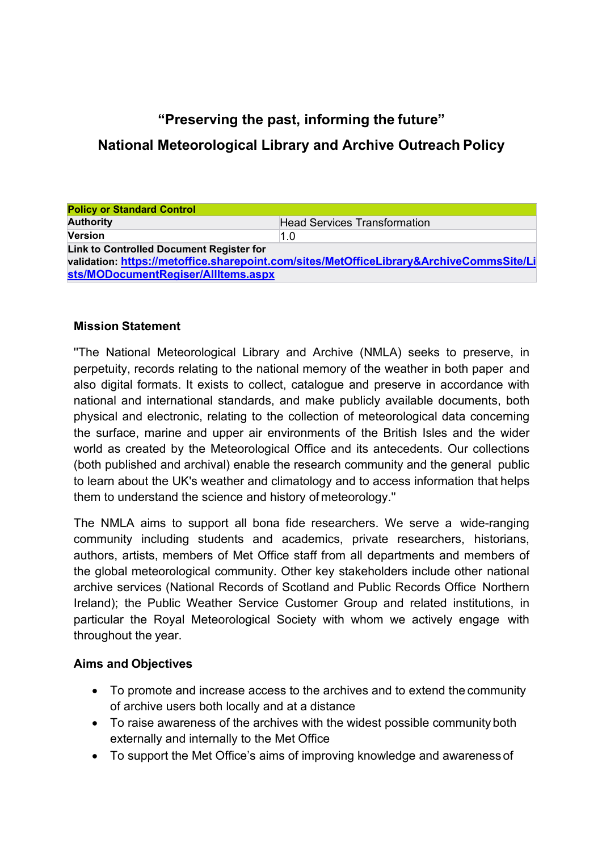# **"Preserving the past, informing the future"**

## **National Meteorological Library and Archive Outreach Policy**

| <b>Policy or Standard Control</b>                                                       |                                     |  |  |  |
|-----------------------------------------------------------------------------------------|-------------------------------------|--|--|--|
| <b>Authority</b>                                                                        | <b>Head Services Transformation</b> |  |  |  |
| <b>Version</b>                                                                          | 1.0                                 |  |  |  |
| Link to Controlled Document Register for                                                |                                     |  |  |  |
| validation: https://metoffice.sharepoint.com/sites/MetOfficeLibrary&ArchiveCommsSite/Li |                                     |  |  |  |
| sts/MODocumentRegiser/AllItems.aspx                                                     |                                     |  |  |  |

#### **Mission Statement**

''The National Meteorological Library and Archive (NMLA) seeks to preserve, in perpetuity, records relating to the national memory of the weather in both paper and also digital formats. It exists to collect, catalogue and preserve in accordance with national and international standards, and make publicly available documents, both physical and electronic, relating to the collection of meteorological data concerning the surface, marine and upper air environments of the British Isles and the wider world as created by the Meteorological Office and its antecedents. Our collections (both published and archival) enable the research community and the general public to learn about the UK's weather and climatology and to access information that helps them to understand the science and history of meteorology.''

The NMLA aims to support all bona fide researchers. We serve a wide-ranging community including students and academics, private researchers, historians, authors, artists, members of Met Office staff from all departments and members of the global meteorological community. Other key stakeholders include other national archive services (National Records of Scotland and Public Records Office Northern Ireland); the Public Weather Service Customer Group and related institutions, in particular the Royal Meteorological Society with whom we actively engage with throughout the year.

### **Aims and Objectives**

- To promote and increase access to the archives and to extend the community of archive users both locally and at a distance
- To raise awareness of the archives with the widest possible community both externally and internally to the Met Office
- To support the Met Office's aims of improving knowledge and awareness of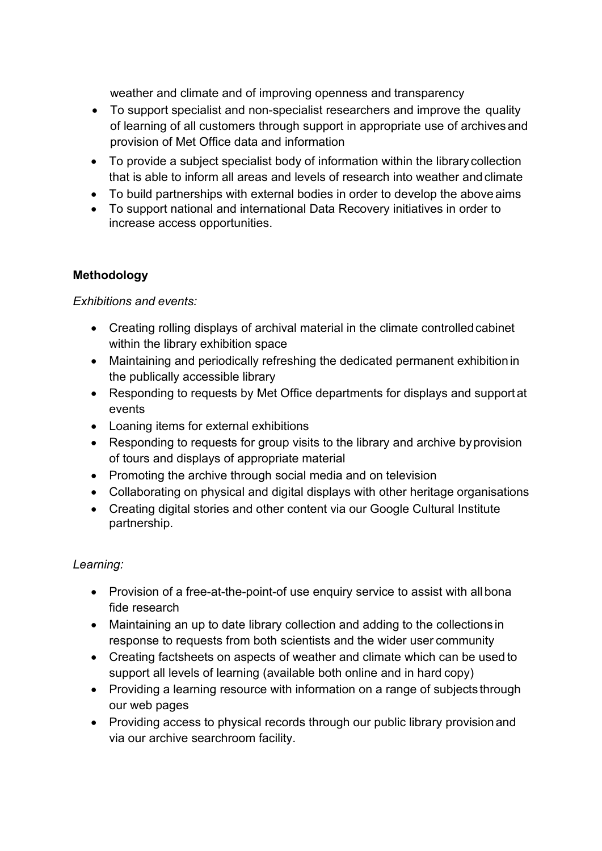weather and climate and of improving openness and transparency

- To support specialist and non-specialist researchers and improve the quality of learning of all customers through support in appropriate use of archives and provision of Met Office data and information
- To provide a subject specialist body of information within the library collection that is able to inform all areas and levels of research into weather and climate
- To build partnerships with external bodies in order to develop the above aims
- To support national and international Data Recovery initiatives in order to increase access opportunities.

### **Methodology**

### *Exhibitions and events:*

- Creating rolling displays of archival material in the climate controlled cabinet within the library exhibition space
- Maintaining and periodically refreshing the dedicated permanent exhibitionin the publically accessible library
- Responding to requests by Met Office departments for displays and support at events
- Loaning items for external exhibitions
- Responding to requests for group visits to the library and archive byprovision of tours and displays of appropriate material
- Promoting the archive through social media and on television
- Collaborating on physical and digital displays with other heritage organisations
- Creating digital stories and other content via our Google Cultural Institute partnership.

### *Learning:*

- Provision of a free-at-the-point-of use enquiry service to assist with all bona fide research
- Maintaining an up to date library collection and adding to the collections in response to requests from both scientists and the wider user community
- Creating factsheets on aspects of weather and climate which can be used to support all levels of learning (available both online and in hard copy)
- Providing a learning resource with information on a range of subjects through our web pages
- Providing access to physical records through our public library provision and via our archive searchroom facility.